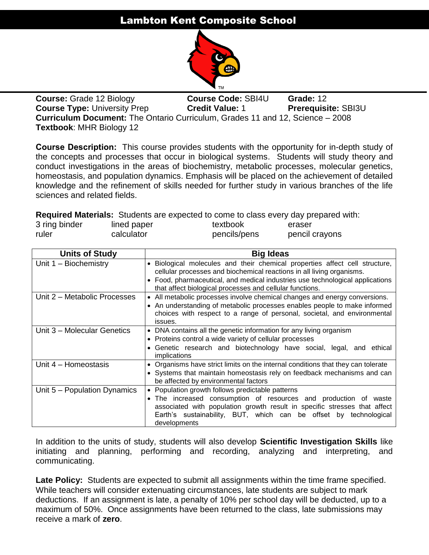# Lambton Kent Composite School



**Course:** Grade 12 Biology **Course Code:** SBI4U **Grade:** 12 **Course Type:** University Prep **Credit Value: 1 Prerequisite: SBI3U Curriculum Document:** The Ontario Curriculum, Grades 11 and 12, Science – 2008 **Textbook**: MHR Biology 12

**Course Description:** This course provides students with the opportunity for in-depth study of the concepts and processes that occur in biological systems. Students will study theory and conduct investigations in the areas of biochemistry, metabolic processes, molecular genetics, homeostasis, and population dynamics. Emphasis will be placed on the achievement of detailed knowledge and the refinement of skills needed for further study in various branches of the life sciences and related fields.

**Required Materials:** Students are expected to come to class every day prepared with:

| 3 ring binder | lined paper | textbook     | eraser         |
|---------------|-------------|--------------|----------------|
| ruler         | calculator  | pencils/pens | pencil crayons |
|               |             |              |                |

| <b>Units of Study</b>        | <b>Big Ideas</b>                                                                                                                                                                                                                                                                       |  |  |  |
|------------------------------|----------------------------------------------------------------------------------------------------------------------------------------------------------------------------------------------------------------------------------------------------------------------------------------|--|--|--|
| Unit 1 - Biochemistry        | • Biological molecules and their chemical properties affect cell structure,<br>cellular processes and biochemical reactions in all living organisms.                                                                                                                                   |  |  |  |
|                              | • Food, pharmaceutical, and medical industries use technological applications<br>that affect biological processes and cellular functions.                                                                                                                                              |  |  |  |
| Unit 2 - Metabolic Processes | • All metabolic processes involve chemical changes and energy conversions.<br>• An understanding of metabolic processes enables people to make informed<br>choices with respect to a range of personal, societal, and environmental<br>issues.                                         |  |  |  |
| Unit 3 - Molecular Genetics  | • DNA contains all the genetic information for any living organism<br>• Proteins control a wide variety of cellular processes<br>Genetic research and biotechnology have social, legal, and ethical<br>implications                                                                    |  |  |  |
| Unit 4 - Homeostasis         | • Organisms have strict limits on the internal conditions that they can tolerate<br>• Systems that maintain homeostasis rely on feedback mechanisms and can<br>be affected by environmental factors                                                                                    |  |  |  |
| Unit 5 - Population Dynamics | • Population growth follows predictable patterns<br>• The increased consumption of resources and production of waste<br>associated with population growth result in specific stresses that affect<br>Earth's sustainability, BUT, which can be offset by technological<br>developments |  |  |  |

In addition to the units of study, students will also develop **Scientific Investigation Skills** like initiating and planning, performing and recording, analyzing and interpreting, and communicating.

**Late Policy:** Students are expected to submit all assignments within the time frame specified. While teachers will consider extenuating circumstances, late students are subject to mark deductions. If an assignment is late, a penalty of 10% per school day will be deducted, up to a maximum of 50%. Once assignments have been returned to the class, late submissions may receive a mark of **zero**.